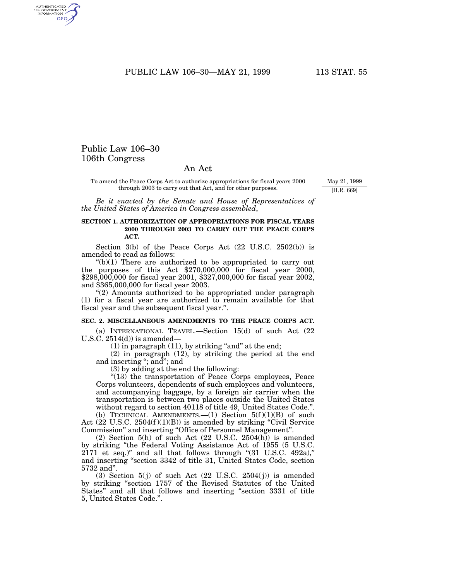PUBLIC LAW 106-30-MAY 21, 1999 113 STAT. 55

## Public Law 106–30 106th Congress

AUTHENTICATED<br>U.S. GOVERNMENT<br>INFORMATION GPO

## An Act

To amend the Peace Corps Act to authorize appropriations for fiscal years 2000 through 2003 to carry out that Act, and for other purposes.

May 21, 1999 [H.R. 669]

*Be it enacted by the Senate and House of Representatives of the United States of America in Congress assembled*,

## **SECTION 1. AUTHORIZATION OF APPROPRIATIONS FOR FISCAL YEARS 2000 THROUGH 2003 TO CARRY OUT THE PEACE CORPS ACT.**

Section  $3(b)$  of the Peace Corps Act  $(22 \text{ U.S.C. } 2502(b))$  is amended to read as follows:

 $*(b)(1)$  There are authorized to be appropriated to carry out the purposes of this Act \$270,000,000 for fiscal year 2000, \$298,000,000 for fiscal year 2001, \$327,000,000 for fiscal year 2002, and \$365,000,000 for fiscal year 2003.

''(2) Amounts authorized to be appropriated under paragraph (1) for a fiscal year are authorized to remain available for that fiscal year and the subsequent fiscal year.''.

## **SEC. 2. MISCELLANEOUS AMENDMENTS TO THE PEACE CORPS ACT.**

(a) INTERNATIONAL TRAVEL.—Section 15(d) of such Act (22 U.S.C.  $2514(d)$  is amended-

 $(1)$  in paragraph  $(11)$ , by striking "and" at the end;

(2) in paragraph (12), by striking the period at the end and inserting ''; and''; and

(3) by adding at the end the following:

''(13) the transportation of Peace Corps employees, Peace Corps volunteers, dependents of such employees and volunteers, and accompanying baggage, by a foreign air carrier when the transportation is between two places outside the United States without regard to section 40118 of title 49, United States Code.''.

(b) TECHNICAL AMENDMENTS.— $(1)$  Section 5 $(f)(1)(B)$  of such Act (22 U.S.C. 2504(f)(1)(B)) is amended by striking "Civil Service Commission'' and inserting ''Office of Personnel Management''.

(2) Section 5(h) of such Act (22 U.S.C. 2504(h)) is amended by striking ''the Federal Voting Assistance Act of 1955 (5 U.S.C. 2171 et seq.)'' and all that follows through ''(31 U.S.C. 492a),'' and inserting ''section 3342 of title 31, United States Code, section 5732 and''.

(3) Section  $5(j)$  of such Act (22 U.S.C. 2504( $j$ )) is amended by striking ''section 1757 of the Revised Statutes of the United States'' and all that follows and inserting ''section 3331 of title 5, United States Code.''.